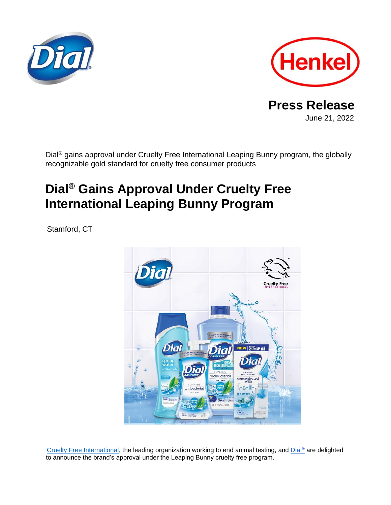



**Press Release** June 21, 2022

Dial<sup>®</sup> gains approval under Cruelty Free International Leaping Bunny program, the globally recognizable gold standard for cruelty free consumer products

# **Dial® Gains Approval Under Cruelty Free International Leaping Bunny Program**

Stamford, CT



[Cruelty Free International,](https://www.crueltyfreeinternational.org/) the leading organization working to end animal testing, and [Dial](https://www.dialsoap.com/)® are delighted to announce the brand's approval under the Leaping Bunny cruelty free program.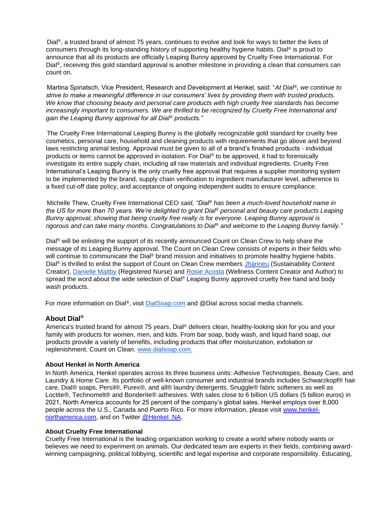Dial<sup>®</sup>, a trusted brand of almost 75 years, continues to evolve and look for ways to better the lives of consumers through its long-standing history of supporting healthy hygiene habits. Dial® is proud to announce that all its products are officially Leaping Bunny approved by Cruelty Free International. For Dial<sup>®</sup>, receiving this gold standard approval is another milestone in providing a clean that consumers can count on.

Martina Spinatsch, Vice President, Research and Development at Henkel, said: "*At Dial®, we continue to strive to make a meaningful difference in our consumers' lives by providing them with trusted products. We know that choosing beauty and personal care products with high cruelty free standards has become increasingly important to consumers. We are thrilled to be recognized by Cruelty Free International and gain the Leaping Bunny approval for all Dial® products."*

The Cruelty Free International Leaping Bunny is the globally recognizable gold standard for cruelty free cosmetics, personal care, household and cleaning products with requirements that go above and beyond laws restricting animal testing. Approval must be given to all of a brand's finished products - individual products or items cannot be approved in isolation. For Dial® to be approved, it had to forensically investigate its entire supply chain, including all raw materials and individual ingredients. Cruelty Free International's Leaping Bunny is the only cruelty free approval that requires a supplier monitoring system to be implemented by the brand, supply chain verification to ingredient manufacturer level, adherence to a fixed cut-off date policy, and acceptance of ongoing independent audits to ensure compliance.

Michelle Thew, Cruelty Free International CEO *said, "Dial® has been a much-loved household name in the US for more than 70 years. We're delighted to grant Dial® personal and beauty care products Leaping Bunny approval, showing that being cruelty free really is for everyone. Leaping Bunny approval is rigorous and can take many months. Congratulations to Dial® and welcome to the Leaping Bunny family."*

Dial<sup>®</sup> will be enlisting the support of its recently announced Count on Clean Crew to help share the message of its Leaping Bunny approval. The Count on Clean Crew consists of experts in their fields who will continue to communicate the Dial<sup>®</sup> brand mission and initiatives to promote healthy hygiene habits. Dial<sup>®</sup> is thrilled to enlist the support of Count on Clean Crew members [Jhánneu](https://www.instagram.com/jhanneu/) (Sustainability Content Creator), [Danielle Maltby](https://www.instagram.com/dmmaltby/) (Registered Nurse) and [Rosie Acosta](https://www.instagram.com/rosieacosta/) (Wellness Content Creator and Author) to spread the word about the wide selection of Dial® Leaping Bunny approved cruelty free hand and body wash products.

For more information on Dial®, visit [DialSoap.com](https://www.dialsoap.com/) and @Dial across social media channels.

## **About Dial®**

America's trusted brand for almost 75 years, Dial® delivers clean, healthy-looking skin for you and your family with products for women, men, and kids. From bar soap, body wash, and liquid hand soap, our products provide a variety of benefits, including products that offer moisturization, exfoliation or replenishment. Count on Clean. [www.dialsoap.com.](http://www.dialsoap.com/)

#### **About Henkel in North America**

In North America, Henkel operates across its three business units: Adhesive Technologies, Beauty Care, and Laundry & Home Care. Its portfolio of well-known consumer and industrial brands includes Schwarzkopf® hair care, Dial® soaps, Persil®, Purex®, and all® laundry detergents, Snuggle® fabric softeners as well as Loctite®, Technomelt® and Bonderite® adhesives. With sales close to 6 billion US dollars (5 billion euros) in 2021, North America accounts for 25 percent of the company's global sales. Henkel employs over 8,000 people across the U.S., Canada and Puerto Rico. For more information, please visit [www.henkel](http://www.henkel-northamerica.com/)[northamerica.com,](http://www.henkel-northamerica.com/) and on Twitter [@Henkel\\_NA.](https://twitter.com/Henkel_NA)

#### **About Cruelty Free International**

Cruelty Free International is the leading organization working to create a world where nobody wants or believes we need to experiment on animals. Our dedicated team are experts in their fields, combining awardwinning campaigning, political lobbying, scientific and legal expertise and corporate responsibility. Educating,